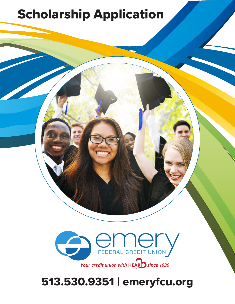# Scholarship Application



## 513.530.9351 | emeryfcu.org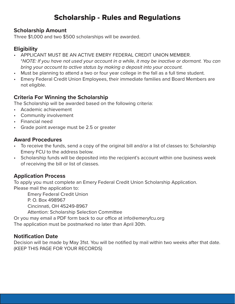### Scholarship - Rules and Regulations

#### **Scholarship Amount**

Three \$1,000 and two \$500 scholarships will be awarded.

#### **Eligibility**

- APPLICANT MUST BE AN ACTIVE EMERY FEDERAL CREDIT UNION MEMBER. \**NOTE: If you have not used your account in a while, it may be inactive or dormant. You can bring your account to active status by making a deposit into your account.*
- Must be planning to attend a two or four year college in the fall as a full time student.
- Emery Federal Credit Union Employees, their immediate families and Board Members are not eligible.

#### **Criteria For Winning the Scholarship**

The Scholarship will be awarded based on the following criteria:

- Academic achievement
- Community involvement
- Financial need
- Grade point average must be 2.5 or greater

#### **Award Procedures**

- To receive the funds, send a copy of the original bill and/or a list of classes to: Scholarship Emery FCU to the address below.
- Scholarship funds will be deposited into the recipient's account within one business week of receiving the bill or list of classes.

#### **Application Process**

To apply you must complete an Emery Federal Credit Union Scholarship Application. Please mail the application to:

Emery Federal Credit Union

P. O. Box 498967

Cincinnati, OH 45249-8967

Attention: Scholarship Selection Committee

Or you may email a PDF form back to our office at info@emeryfcu.org

The application must be postmarked no later than April 30th.

#### **Notification Date**

Decision will be made by May 31st. You will be notified by mail within two weeks after that date. (KEEP THIS PAGE FOR YOUR RECORDS)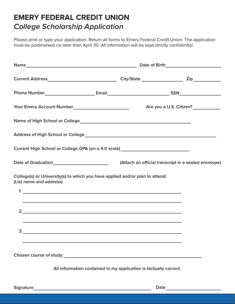## **EMERY FEDERAL CREDIT UNION** *College Scholarship Application*

Please print or type your application. Return all forms to Emery Federal Credit Union. The application must be postmarked no later than April 30. All information will be kept strictly confidential.

| Current High School or College GPA (on a 4.0 scale) ____________________________                                                         |                                                                   |  |                                                      |  |  |
|------------------------------------------------------------------------------------------------------------------------------------------|-------------------------------------------------------------------|--|------------------------------------------------------|--|--|
| Date of Graduation__________________________                                                                                             |                                                                   |  | (Attach an official transcript in a sealed envelope) |  |  |
| College(s) or University(s) to which you have applied and/or plan to attend:<br>(List name and address)<br>$1.$ $\overline{\phantom{a}}$ |                                                                   |  |                                                      |  |  |
| <u> 1999 - Jan Barbara de Santo de Arabel de la contrada de la contrada de la contrada de la contrada de la contra</u>                   |                                                                   |  |                                                      |  |  |
| 2.                                                                                                                                       |                                                                   |  |                                                      |  |  |
| <u> 1989 - Andrea Santa Andrea Santa Andrea Santa Andrea Santa Andrea Santa Andrea Santa Andrea Santa Andrea San</u><br>$\frac{3}{2}$    |                                                                   |  |                                                      |  |  |
|                                                                                                                                          |                                                                   |  |                                                      |  |  |
|                                                                                                                                          |                                                                   |  |                                                      |  |  |
|                                                                                                                                          | All information contained in my application is factually correct. |  |                                                      |  |  |
| <b>Signature</b>                                                                                                                         |                                                                   |  | Date                                                 |  |  |